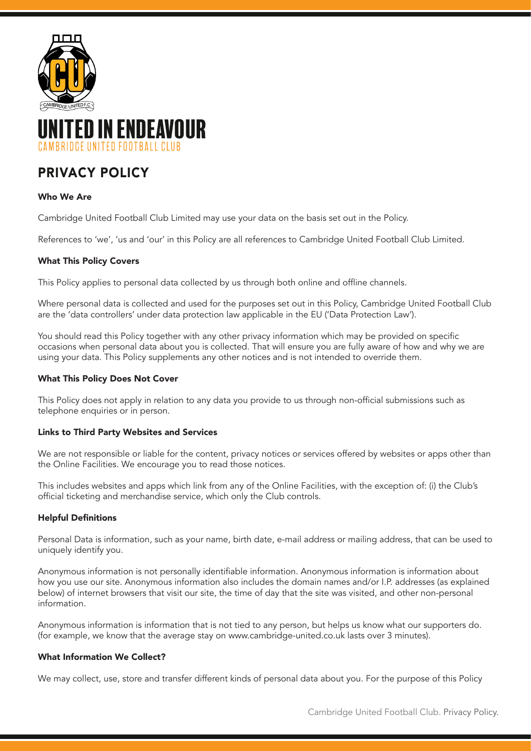

# PRIVACY POLICY

# Who We Are

Cambridge United Football Club Limited may use your data on the basis set out in the Policy.

References to 'we', 'us and 'our' in this Policy are all references to Cambridge United Football Club Limited.

# What This Policy Covers

This Policy applies to personal data collected by us through both online and offline channels.

Where personal data is collected and used for the purposes set out in this Policy, Cambridge United Football Club are the 'data controllers' under data protection law applicable in the EU ('Data Protection Law').

You should read this Policy together with any other privacy information which may be provided on specific occasions when personal data about you is collected. That will ensure you are fully aware of how and why we are using your data. This Policy supplements any other notices and is not intended to override them.

## What This Policy Does Not Cover

This Policy does not apply in relation to any data you provide to us through non-official submissions such as telephone enquiries or in person.

#### Links to Third Party Websites and Services

We are not responsible or liable for the content, privacy notices or services offered by websites or apps other than the Online Facilities. We encourage you to read those notices.

This includes websites and apps which link from any of the Online Facilities, with the exception of: (i) the Club's official ticketing and merchandise service, which only the Club controls.

#### Helpful Definitions

Personal Data is information, such as your name, birth date, e-mail address or mailing address, that can be used to uniquely identify you.

Anonymous information is not personally identifiable information. Anonymous information is information about how you use our site. Anonymous information also includes the domain names and/or I.P. addresses (as explained below) of internet browsers that visit our site, the time of day that the site was visited, and other non-personal information.

Anonymous information is information that is not tied to any person, but helps us know what our supporters do. (for example, we know that the average stay on www.cambridge-united.co.uk lasts over 3 minutes).

#### What Information We Collect?

We may collect, use, store and transfer different kinds of personal data about you. For the purpose of this Policy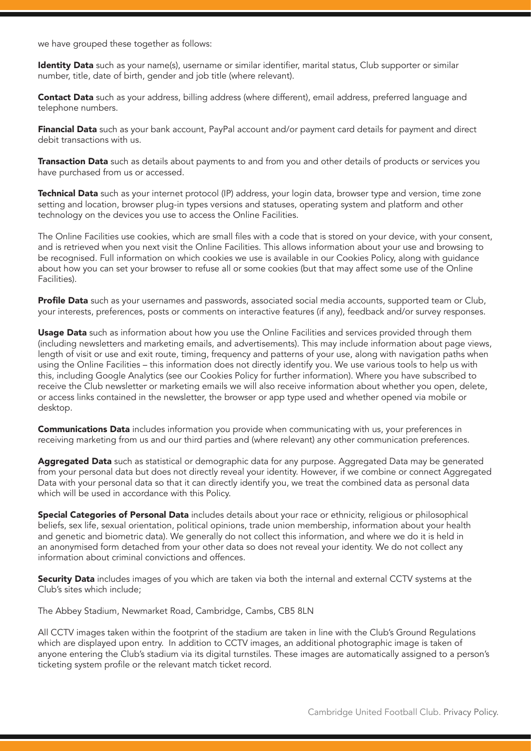we have grouped these together as follows:

Identity Data such as your name(s), username or similar identifier, marital status, Club supporter or similar number, title, date of birth, gender and job title (where relevant).

Contact Data such as your address, billing address (where different), email address, preferred language and telephone numbers.

Financial Data such as your bank account, PayPal account and/or payment card details for payment and direct debit transactions with us.

Transaction Data such as details about payments to and from you and other details of products or services you have purchased from us or accessed.

Technical Data such as your internet protocol (IP) address, your login data, browser type and version, time zone setting and location, browser plug-in types versions and statuses, operating system and platform and other technology on the devices you use to access the Online Facilities.

The Online Facilities use cookies, which are small files with a code that is stored on your device, with your consent, and is retrieved when you next visit the Online Facilities. This allows information about your use and browsing to be recognised. Full information on which cookies we use is available in our Cookies Policy, along with guidance about how you can set your browser to refuse all or some cookies (but that may affect some use of the Online Facilities).

**Profile Data** such as your usernames and passwords, associated social media accounts, supported team or Club, your interests, preferences, posts or comments on interactive features (if any), feedback and/or survey responses.

Usage Data such as information about how you use the Online Facilities and services provided through them (including newsletters and marketing emails, and advertisements). This may include information about page views, length of visit or use and exit route, timing, frequency and patterns of your use, along with navigation paths when using the Online Facilities – this information does not directly identify you. We use various tools to help us with this, including Google Analytics (see our Cookies Policy for further information). Where you have subscribed to receive the Club newsletter or marketing emails we will also receive information about whether you open, delete, or access links contained in the newsletter, the browser or app type used and whether opened via mobile or desktop.

**Communications Data** includes information you provide when communicating with us, your preferences in receiving marketing from us and our third parties and (where relevant) any other communication preferences.

Aggregated Data such as statistical or demographic data for any purpose. Aggregated Data may be generated from your personal data but does not directly reveal your identity. However, if we combine or connect Aggregated Data with your personal data so that it can directly identify you, we treat the combined data as personal data which will be used in accordance with this Policy.

Special Categories of Personal Data includes details about your race or ethnicity, religious or philosophical beliefs, sex life, sexual orientation, political opinions, trade union membership, information about your health and genetic and biometric data). We generally do not collect this information, and where we do it is held in an anonymised form detached from your other data so does not reveal your identity. We do not collect any information about criminal convictions and offences.

Security Data includes images of you which are taken via both the internal and external CCTV systems at the Club's sites which include;

The Abbey Stadium, Newmarket Road, Cambridge, Cambs, CB5 8LN

All CCTV images taken within the footprint of the stadium are taken in line with the Club's Ground Regulations which are displayed upon entry. In addition to CCTV images, an additional photographic image is taken of anyone entering the Club's stadium via its digital turnstiles. These images are automatically assigned to a person's ticketing system profile or the relevant match ticket record.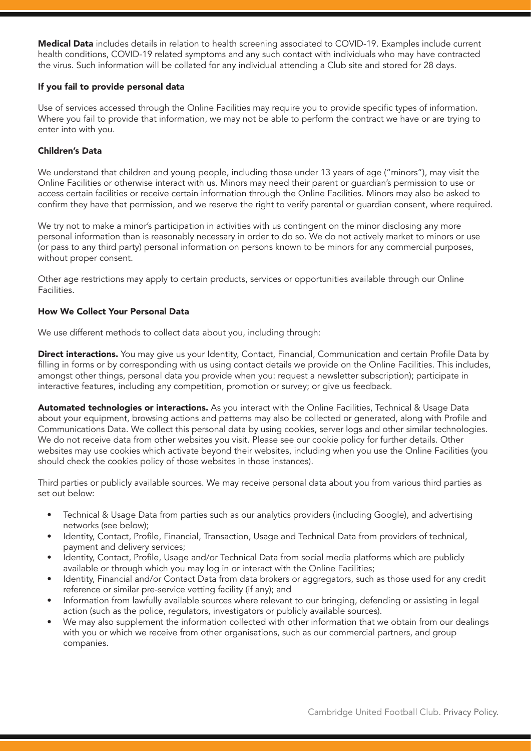Medical Data includes details in relation to health screening associated to COVID-19. Examples include current health conditions, COVID-19 related symptoms and any such contact with individuals who may have contracted the virus. Such information will be collated for any individual attending a Club site and stored for 28 days.

### If you fail to provide personal data

Use of services accessed through the Online Facilities may require you to provide specific types of information. Where you fail to provide that information, we may not be able to perform the contract we have or are trying to enter into with you.

# Children's Data

We understand that children and young people, including those under 13 years of age ("minors"), may visit the Online Facilities or otherwise interact with us. Minors may need their parent or guardian's permission to use or access certain facilities or receive certain information through the Online Facilities. Minors may also be asked to confirm they have that permission, and we reserve the right to verify parental or guardian consent, where required.

We try not to make a minor's participation in activities with us contingent on the minor disclosing any more personal information than is reasonably necessary in order to do so. We do not actively market to minors or use (or pass to any third party) personal information on persons known to be minors for any commercial purposes, without proper consent.

Other age restrictions may apply to certain products, services or opportunities available through our Online Facilities.

## How We Collect Your Personal Data

We use different methods to collect data about you, including through:

Direct interactions. You may give us your Identity, Contact, Financial, Communication and certain Profile Data by filling in forms or by corresponding with us using contact details we provide on the Online Facilities. This includes, amongst other things, personal data you provide when you: request a newsletter subscription); participate in interactive features, including any competition, promotion or survey; or give us feedback.

Automated technologies or interactions. As you interact with the Online Facilities, Technical & Usage Data about your equipment, browsing actions and patterns may also be collected or generated, along with Profile and Communications Data. We collect this personal data by using cookies, server logs and other similar technologies. We do not receive data from other websites you visit. Please see our cookie policy for further details. Other websites may use cookies which activate beyond their websites, including when you use the Online Facilities (you should check the cookies policy of those websites in those instances).

Third parties or publicly available sources. We may receive personal data about you from various third parties as set out below:

- Technical & Usage Data from parties such as our analytics providers (including Google), and advertising networks (see below);
- Identity, Contact, Profile, Financial, Transaction, Usage and Technical Data from providers of technical, payment and delivery services;
- Identity, Contact, Profile, Usage and/or Technical Data from social media platforms which are publicly available or through which you may log in or interact with the Online Facilities;
- Identity, Financial and/or Contact Data from data brokers or aggregators, such as those used for any credit reference or similar pre-service vetting facility (if any); and
- Information from lawfully available sources where relevant to our bringing, defending or assisting in legal action (such as the police, regulators, investigators or publicly available sources).
- We may also supplement the information collected with other information that we obtain from our dealings with you or which we receive from other organisations, such as our commercial partners, and group companies.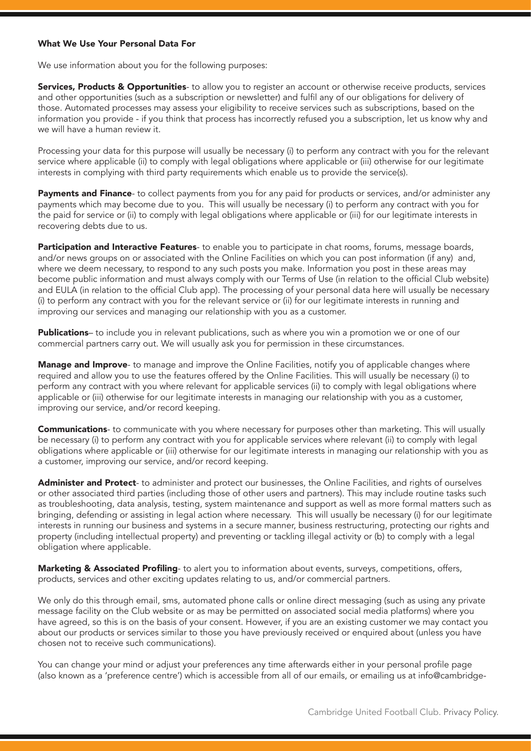#### What We Use Your Personal Data For

We use information about you for the following purposes:

**Services, Products & Opportunities-** to allow you to register an account or otherwise receive products, services and other opportunities (such as a subscription or newsletter) and fulfil any of our obligations for delivery of those. Automated processes may assess your eligibility to receive services such as subscriptions, based on the information you provide - if you think that process has incorrectly refused you a subscription, let us know why and we will have a human review it.

Processing your data for this purpose will usually be necessary (i) to perform any contract with you for the relevant service where applicable (ii) to comply with legal obligations where applicable or (iii) otherwise for our legitimate interests in complying with third party requirements which enable us to provide the service(s).

Payments and Finance- to collect payments from you for any paid for products or services, and/or administer any payments which may become due to you. This will usually be necessary (i) to perform any contract with you for the paid for service or (ii) to comply with legal obligations where applicable or (iii) for our legitimate interests in recovering debts due to us.

Participation and Interactive Features- to enable you to participate in chat rooms, forums, message boards, and/or news groups on or associated with the Online Facilities on which you can post information (if any) and, where we deem necessary, to respond to any such posts you make. Information you post in these areas may become public information and must always comply with our Terms of Use (in relation to the official Club website) and EULA (in relation to the official Club app). The processing of your personal data here will usually be necessary (i) to perform any contract with you for the relevant service or (ii) for our legitimate interests in running and improving our services and managing our relationship with you as a customer.

Publications– to include you in relevant publications, such as where you win a promotion we or one of our commercial partners carry out. We will usually ask you for permission in these circumstances.

Manage and Improve- to manage and improve the Online Facilities, notify you of applicable changes where required and allow you to use the features offered by the Online Facilities. This will usually be necessary (i) to perform any contract with you where relevant for applicable services (ii) to comply with legal obligations where applicable or (iii) otherwise for our legitimate interests in managing our relationship with you as a customer, improving our service, and/or record keeping.

**Communications**- to communicate with you where necessary for purposes other than marketing. This will usually be necessary (i) to perform any contract with you for applicable services where relevant (ii) to comply with legal obligations where applicable or (iii) otherwise for our legitimate interests in managing our relationship with you as a customer, improving our service, and/or record keeping.

Administer and Protect- to administer and protect our businesses, the Online Facilities, and rights of ourselves or other associated third parties (including those of other users and partners). This may include routine tasks such as troubleshooting, data analysis, testing, system maintenance and support as well as more formal matters such as bringing, defending or assisting in legal action where necessary. This will usually be necessary (i) for our legitimate interests in running our business and systems in a secure manner, business restructuring, protecting our rights and property (including intellectual property) and preventing or tackling illegal activity or (b) to comply with a legal obligation where applicable.

Marketing & Associated Profiling- to alert you to information about events, surveys, competitions, offers, products, services and other exciting updates relating to us, and/or commercial partners.

We only do this through email, sms, automated phone calls or online direct messaging (such as using any private message facility on the Club website or as may be permitted on associated social media platforms) where you have agreed, so this is on the basis of your consent. However, if you are an existing customer we may contact you about our products or services similar to those you have previously received or enquired about (unless you have chosen not to receive such communications).

You can change your mind or adjust your preferences any time afterwards either in your personal profile page (also known as a 'preference centre') which is accessible from all of our emails, or emailing us at info@cambridge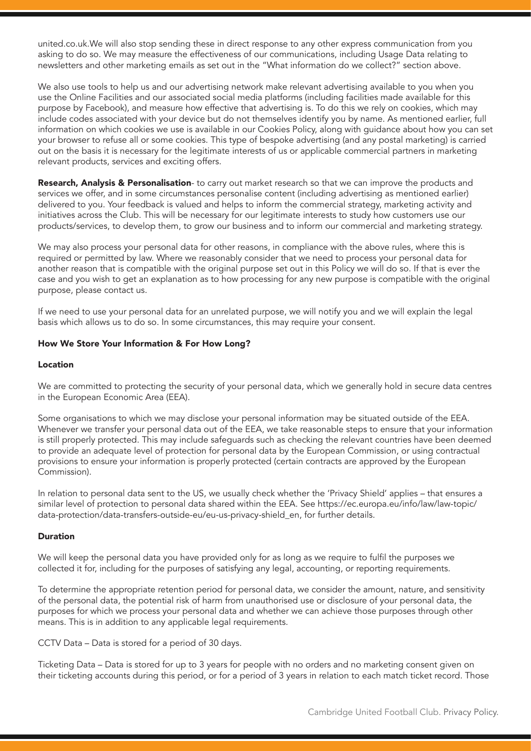united.co.uk.We will also stop sending these in direct response to any other express communication from you asking to do so. We may measure the effectiveness of our communications, including Usage Data relating to newsletters and other marketing emails as set out in the "What information do we collect?" section above.

We also use tools to help us and our advertising network make relevant advertising available to you when you use the Online Facilities and our associated social media platforms (including facilities made available for this purpose by Facebook), and measure how effective that advertising is. To do this we rely on cookies, which may include codes associated with your device but do not themselves identify you by name. As mentioned earlier, full information on which cookies we use is available in our Cookies Policy, along with guidance about how you can set your browser to refuse all or some cookies. This type of bespoke advertising (and any postal marketing) is carried out on the basis it is necessary for the legitimate interests of us or applicable commercial partners in marketing relevant products, services and exciting offers.

Research, Analysis & Personalisation- to carry out market research so that we can improve the products and services we offer, and in some circumstances personalise content (including advertising as mentioned earlier) delivered to you. Your feedback is valued and helps to inform the commercial strategy, marketing activity and initiatives across the Club. This will be necessary for our legitimate interests to study how customers use our products/services, to develop them, to grow our business and to inform our commercial and marketing strategy.

We may also process your personal data for other reasons, in compliance with the above rules, where this is required or permitted by law. Where we reasonably consider that we need to process your personal data for another reason that is compatible with the original purpose set out in this Policy we will do so. If that is ever the case and you wish to get an explanation as to how processing for any new purpose is compatible with the original purpose, please contact us.

If we need to use your personal data for an unrelated purpose, we will notify you and we will explain the legal basis which allows us to do so. In some circumstances, this may require your consent.

#### How We Store Your Information & For How Long?

#### Location

We are committed to protecting the security of your personal data, which we generally hold in secure data centres in the European Economic Area (EEA).

Some organisations to which we may disclose your personal information may be situated outside of the EEA. Whenever we transfer your personal data out of the EEA, we take reasonable steps to ensure that your information is still properly protected. This may include safeguards such as checking the relevant countries have been deemed to provide an adequate level of protection for personal data by the European Commission, or using contractual provisions to ensure your information is properly protected (certain contracts are approved by the European Commission).

In relation to personal data sent to the US, we usually check whether the 'Privacy Shield' applies – that ensures a similar level of protection to personal data shared within the EEA. See https://ec.europa.eu/info/law/law-topic/ data-protection/data-transfers-outside-eu/eu-us-privacy-shield\_en, for further details.

#### Duration

We will keep the personal data you have provided only for as long as we require to fulfil the purposes we collected it for, including for the purposes of satisfying any legal, accounting, or reporting requirements.

To determine the appropriate retention period for personal data, we consider the amount, nature, and sensitivity of the personal data, the potential risk of harm from unauthorised use or disclosure of your personal data, the purposes for which we process your personal data and whether we can achieve those purposes through other means. This is in addition to any applicable legal requirements.

CCTV Data – Data is stored for a period of 30 days.

Ticketing Data – Data is stored for up to 3 years for people with no orders and no marketing consent given on their ticketing accounts during this period, or for a period of 3 years in relation to each match ticket record. Those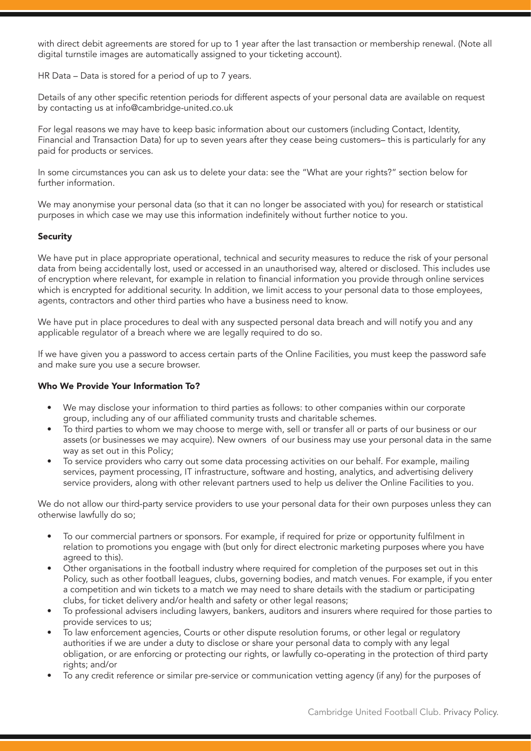with direct debit agreements are stored for up to 1 year after the last transaction or membership renewal. (Note all digital turnstile images are automatically assigned to your ticketing account).

HR Data – Data is stored for a period of up to 7 years.

Details of any other specific retention periods for different aspects of your personal data are available on request by contacting us at info@cambridge-united.co.uk

For legal reasons we may have to keep basic information about our customers (including Contact, Identity, Financial and Transaction Data) for up to seven years after they cease being customers– this is particularly for any paid for products or services.

In some circumstances you can ask us to delete your data: see the "What are your rights?" section below for further information.

We may anonymise your personal data (so that it can no longer be associated with you) for research or statistical purposes in which case we may use this information indefinitely without further notice to you.

# Security

We have put in place appropriate operational, technical and security measures to reduce the risk of your personal data from being accidentally lost, used or accessed in an unauthorised way, altered or disclosed. This includes use of encryption where relevant, for example in relation to financial information you provide through online services which is encrypted for additional security. In addition, we limit access to your personal data to those employees, agents, contractors and other third parties who have a business need to know.

We have put in place procedures to deal with any suspected personal data breach and will notify you and any applicable regulator of a breach where we are legally required to do so.

If we have given you a password to access certain parts of the Online Facilities, you must keep the password safe and make sure you use a secure browser.

#### Who We Provide Your Information To?

- We may disclose your information to third parties as follows: to other companies within our corporate group, including any of our affiliated community trusts and charitable schemes.
- To third parties to whom we may choose to merge with, sell or transfer all or parts of our business or our assets (or businesses we may acquire). New owners of our business may use your personal data in the same way as set out in this Policy;
- To service providers who carry out some data processing activities on our behalf. For example, mailing services, payment processing, IT infrastructure, software and hosting, analytics, and advertising delivery service providers, along with other relevant partners used to help us deliver the Online Facilities to you.

We do not allow our third-party service providers to use your personal data for their own purposes unless they can otherwise lawfully do so;

- To our commercial partners or sponsors. For example, if required for prize or opportunity fulfilment in relation to promotions you engage with (but only for direct electronic marketing purposes where you have agreed to this).
- Other organisations in the football industry where required for completion of the purposes set out in this Policy, such as other football leagues, clubs, governing bodies, and match venues. For example, if you enter a competition and win tickets to a match we may need to share details with the stadium or participating clubs, for ticket delivery and/or health and safety or other legal reasons;
- To professional advisers including lawyers, bankers, auditors and insurers where required for those parties to provide services to us;
- To law enforcement agencies, Courts or other dispute resolution forums, or other legal or regulatory authorities if we are under a duty to disclose or share your personal data to comply with any legal obligation, or are enforcing or protecting our rights, or lawfully co-operating in the protection of third party rights; and/or
- To any credit reference or similar pre-service or communication vetting agency (if any) for the purposes of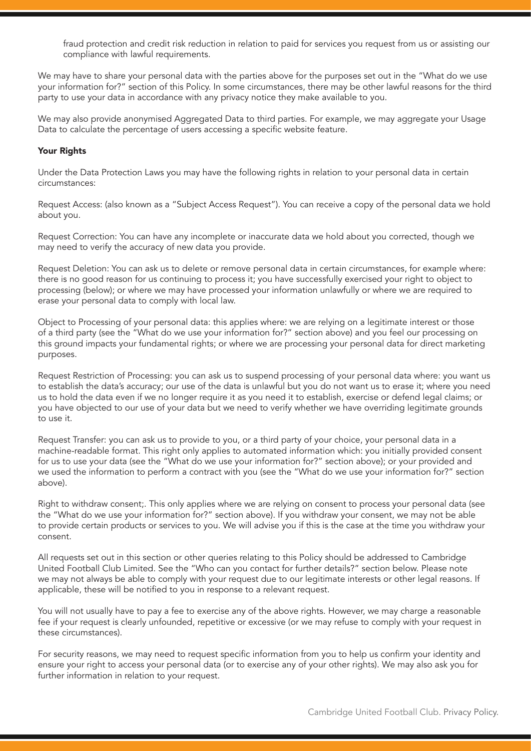fraud protection and credit risk reduction in relation to paid for services you request from us or assisting our compliance with lawful requirements.

We may have to share your personal data with the parties above for the purposes set out in the "What do we use your information for?" section of this Policy. In some circumstances, there may be other lawful reasons for the third party to use your data in accordance with any privacy notice they make available to you.

We may also provide anonymised Aggregated Data to third parties. For example, we may aggregate your Usage Data to calculate the percentage of users accessing a specific website feature.

#### Your Rights

Under the Data Protection Laws you may have the following rights in relation to your personal data in certain circumstances:

Request Access: (also known as a "Subject Access Request"). You can receive a copy of the personal data we hold about you.

Request Correction: You can have any incomplete or inaccurate data we hold about you corrected, though we may need to verify the accuracy of new data you provide.

Request Deletion: You can ask us to delete or remove personal data in certain circumstances, for example where: there is no good reason for us continuing to process it; you have successfully exercised your right to object to processing (below); or where we may have processed your information unlawfully or where we are required to erase your personal data to comply with local law.

Object to Processing of your personal data: this applies where: we are relying on a legitimate interest or those of a third party (see the "What do we use your information for?" section above) and you feel our processing on this ground impacts your fundamental rights; or where we are processing your personal data for direct marketing purposes.

Request Restriction of Processing: you can ask us to suspend processing of your personal data where: you want us to establish the data's accuracy; our use of the data is unlawful but you do not want us to erase it; where you need us to hold the data even if we no longer require it as you need it to establish, exercise or defend legal claims; or you have objected to our use of your data but we need to verify whether we have overriding legitimate grounds to use it.

Request Transfer: you can ask us to provide to you, or a third party of your choice, your personal data in a machine-readable format. This right only applies to automated information which: you initially provided consent for us to use your data (see the "What do we use your information for?" section above); or your provided and we used the information to perform a contract with you (see the "What do we use your information for?" section above).

Right to withdraw consent;. This only applies where we are relying on consent to process your personal data (see the "What do we use your information for?" section above). If you withdraw your consent, we may not be able to provide certain products or services to you. We will advise you if this is the case at the time you withdraw your consent.

All requests set out in this section or other queries relating to this Policy should be addressed to Cambridge United Football Club Limited. See the "Who can you contact for further details?" section below. Please note we may not always be able to comply with your request due to our legitimate interests or other legal reasons. If applicable, these will be notified to you in response to a relevant request.

You will not usually have to pay a fee to exercise any of the above rights. However, we may charge a reasonable fee if your request is clearly unfounded, repetitive or excessive (or we may refuse to comply with your request in these circumstances).

For security reasons, we may need to request specific information from you to help us confirm your identity and ensure your right to access your personal data (or to exercise any of your other rights). We may also ask you for further information in relation to your request.